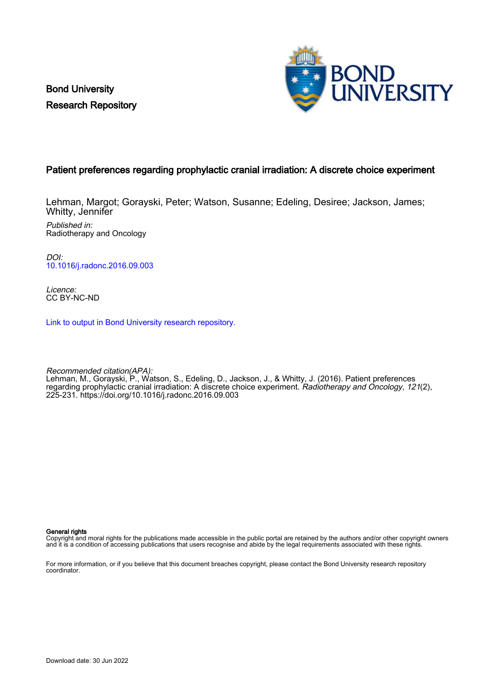Bond University Research Repository



## Patient preferences regarding prophylactic cranial irradiation: A discrete choice experiment

Lehman, Margot; Gorayski, Peter; Watson, Susanne; Edeling, Desiree; Jackson, James; Whitty, Jennifer Published in: Radiotherapy and Oncology

DOI:

[10.1016/j.radonc.2016.09.003](https://doi.org/10.1016/j.radonc.2016.09.003)

Licence: CC BY-NC-ND

[Link to output in Bond University research repository.](https://research.bond.edu.au/en/publications/bf1eb6df-553e-4d89-a544-481f9f6421c5)

Recommended citation(APA): Lehman, M., Gorayski, P., Watson, S., Edeling, D., Jackson, J., & Whitty, J. (2016). Patient preferences regarding prophylactic cranial irradiation: A discrete choice experiment. Radiotherapy and Oncology, 121(2), 225-231.<https://doi.org/10.1016/j.radonc.2016.09.003>

General rights

Copyright and moral rights for the publications made accessible in the public portal are retained by the authors and/or other copyright owners and it is a condition of accessing publications that users recognise and abide by the legal requirements associated with these rights.

For more information, or if you believe that this document breaches copyright, please contact the Bond University research repository coordinator.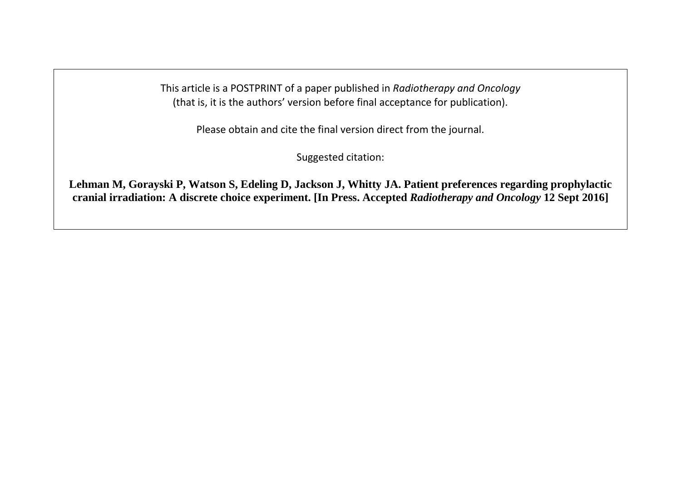This article is a POSTPRINT of a paper published in *Radiotherapy and Oncology* (that is, it is the authors' version before final acceptance for publication).

Please obtain and cite the final version direct from the journal.

Suggested citation:

**Lehman M, Gorayski P, Watson S, Edeling D, Jackson J, Whitty JA. Patient preferences regarding prophylactic cranial irradiation: A discrete choice experiment. [In Press. Accepted** *Radiotherapy and Oncology* **12 Sept 2016]**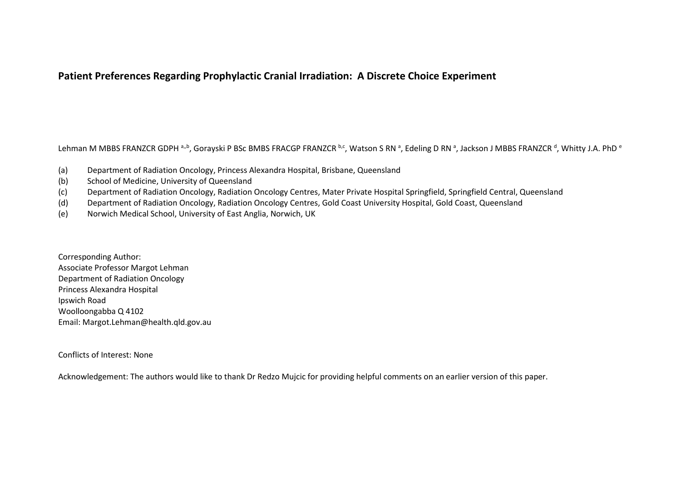# **Patient Preferences Regarding Prophylactic Cranial Irradiation: A Discrete Choice Experiment**

Lehman M MBBS FRANZCR GDPH <sup>a,,b</sup>, Gorayski P BSc BMBS FRACGP FRANZCR <sup>b,c</sup>, Watson S RN ª, Edeling D RN ª, Jackson J MBBS FRANZCR <sup>d</sup>, Whitty J.A. PhD <sup>e</sup>

- (a) Department of Radiation Oncology, Princess Alexandra Hospital, Brisbane, Queensland
- (b) School of Medicine, University of Queensland
- (c) Department of Radiation Oncology, Radiation Oncology Centres, Mater Private Hospital Springfield, Springfield Central, Queensland
- (d) Department of Radiation Oncology, Radiation Oncology Centres, Gold Coast University Hospital, Gold Coast, Queensland
- (e) Norwich Medical School, University of East Anglia, Norwich, UK

Corresponding Author: Associate Professor Margot Lehman Department of Radiation Oncology Princess Alexandra Hospital Ipswich Road Woolloongabba Q 4102 Email: Margot.Lehman@health.qld.gov.au

Conflicts of Interest: None

Acknowledgement: The authors would like to thank Dr Redzo Mujcic for providing helpful comments on an earlier version of this paper.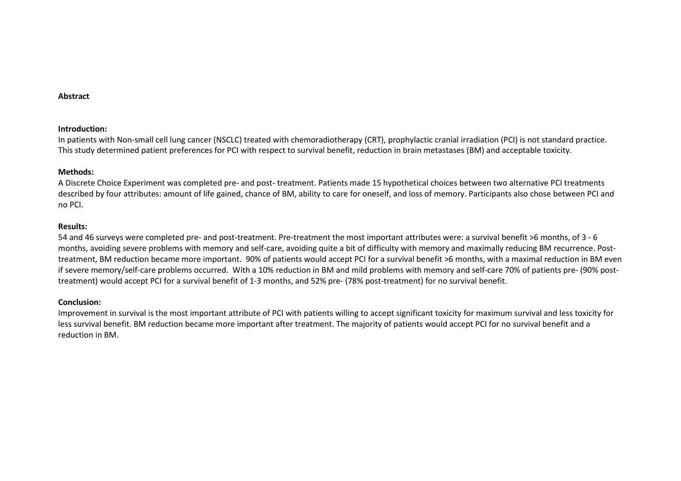#### **Abstract**

#### **Introduction:**

In patients with Non-small cell lung cancer (NSCLC) treated with chemoradiotherapy (CRT), prophylactic cranial irradiation (PCI) is not standard practice. This study determined patient preferences for PCI with respect to survival benefit, reduction in brain metastases (BM) and acceptable toxicity.

#### **Methods:**

A Discrete Choice Experiment was completed pre- and post- treatment. Patients made 15 hypothetical choices between two alternative PCI treatments described by four attributes: amount of life gained, chance of BM, ability to care for oneself, and loss of memory. Participants also chose between PCI and no PCI.

#### **Results:**

54 and 46 surveys were completed pre- and post-treatment. Pre-treatment the most important attributes were: a survival benefit >6 months, of 3 - 6 months, avoiding severe problems with memory and self-care, avoiding quite a bit of difficulty with memory and maximally reducing BM recurrence. Posttreatment, BM reduction became more important. 90% of patients would accept PCI for a survival benefit >6 months, with a maximal reduction in BM even if severe memory/self-care problems occurred. With a 10% reduction in BM and mild problems with memory and self-care 70% of patients pre- (90% posttreatment) would accept PCI for a survival benefit of 1-3 months, and 52% pre- (78% post-treatment) for no survival benefit.

## **Conclusion:**

Improvement in survival is the most important attribute of PCI with patients willing to accept significant toxicity for maximum survival and less toxicity for less survival benefit. BM reduction became more important after treatment. The majority of patients would accept PCI for no survival benefit and a reduction in BM.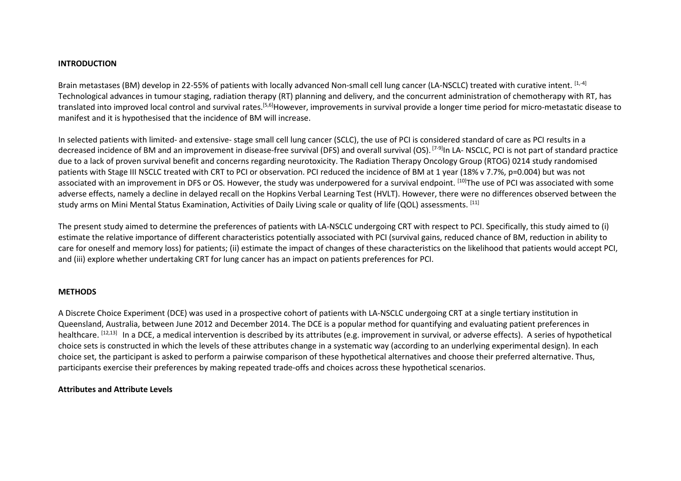## **INTRODUCTION**

Brain metastases (BM) develop in 22-55% of patients with locally advanced Non-small cell lung cancer (LA-NSCLC) treated with curative intent. [1,-4] Technological advances in tumour staging, radiation therapy (RT) planning and delivery, and the concurrent administration of chemotherapy with RT, has translated into improved local control and survival rates.<sup>[5,6]</sup>However, improvements in survival provide a longer time period for micro-metastatic disease to manifest and it is hypothesised that the incidence of BM will increase.

In selected patients with limited- and extensive- stage small cell lung cancer (SCLC), the use of PCI is considered standard of care as PCI results in a decreased incidence of BM and an improvement in disease-free survival (DFS) and overall survival (OS). <sup>[7-9]</sup>In LA- NSCLC, PCI is not part of standard practice due to a lack of proven survival benefit and concerns regarding neurotoxicity. The Radiation Therapy Oncology Group (RTOG) 0214 study randomised patients with Stage III NSCLC treated with CRT to PCI or observation. PCI reduced the incidence of BM at 1 year (18% v 7.7%, p=0.004) but was not associated with an improvement in DFS or OS. However, the study was underpowered for a survival endpoint. [10] The use of PCI was associated with some adverse effects, namely a decline in delayed recall on the Hopkins Verbal Learning Test (HVLT). However, there were no differences observed between the study arms on Mini Mental Status Examination, Activities of Daily Living scale or quality of life (QOL) assessments. [11]

The present study aimed to determine the preferences of patients with LA-NSCLC undergoing CRT with respect to PCI. Specifically, this study aimed to (i) estimate the relative importance of different characteristics potentially associated with PCI (survival gains, reduced chance of BM, reduction in ability to care for oneself and memory loss) for patients; (ii) estimate the impact of changes of these characteristics on the likelihood that patients would accept PCI, and (iii) explore whether undertaking CRT for lung cancer has an impact on patients preferences for PCI.

## **METHODS**

A Discrete Choice Experiment (DCE) was used in a prospective cohort of patients with LA-NSCLC undergoing CRT at a single tertiary institution in Queensland, Australia, between June 2012 and December 2014. The DCE is a popular method for quantifying and evaluating patient preferences in healthcare. <sup>[12,13]</sup> In a DCE, a medical intervention is described by its attributes (e.g. improvement in survival, or adverse effects). A series of hypothetical choice sets is constructed in which the levels of these attributes change in a systematic way (according to an underlying experimental design). In each choice set, the participant is asked to perform a pairwise comparison of these hypothetical alternatives and choose their preferred alternative. Thus, participants exercise their preferences by making repeated trade-offs and choices across these hypothetical scenarios.

## **Attributes and Attribute Levels**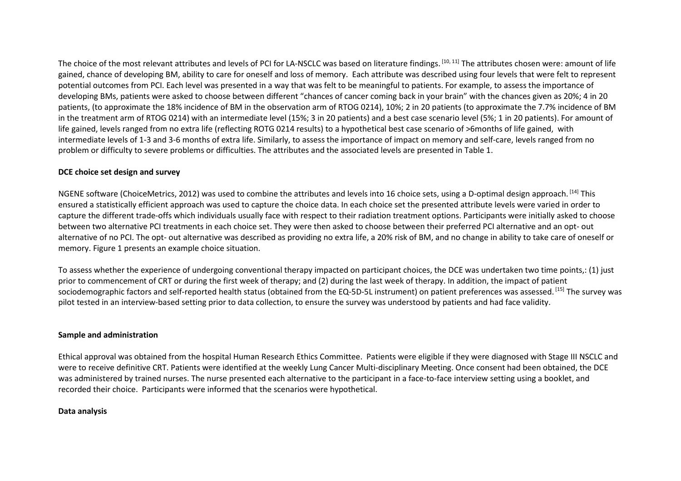The choice of the most relevant attributes and levels of PCI for LA-NSCLC was based on literature findings. [10, 11] The attributes chosen were: amount of life gained, chance of developing BM, ability to care for oneself and loss of memory. Each attribute was described using four levels that were felt to represent potential outcomes from PCI. Each level was presented in a way that was felt to be meaningful to patients. For example, to assess the importance of developing BMs, patients were asked to choose between different "chances of cancer coming back in your brain" with the chances given as 20%; 4 in 20 patients, (to approximate the 18% incidence of BM in the observation arm of RTOG 0214), 10%; 2 in 20 patients (to approximate the 7.7% incidence of BM in the treatment arm of RTOG 0214) with an intermediate level (15%; 3 in 20 patients) and a best case scenario level (5%; 1 in 20 patients). For amount of life gained, levels ranged from no extra life (reflecting ROTG 0214 results) to a hypothetical best case scenario of >6months of life gained, with intermediate levels of 1-3 and 3-6 months of extra life. Similarly, to assess the importance of impact on memory and self-care, levels ranged from no problem or difficulty to severe problems or difficulties. The attributes and the associated levels are presented in Table 1.

## **DCE choice set design and survey**

NGENE software (ChoiceMetrics, 2012) was used to combine the attributes and levels into 16 choice sets, using a D-optimal design approach. [14] This ensured a statistically efficient approach was used to capture the choice data. In each choice set the presented attribute levels were varied in order to capture the different trade-offs which individuals usually face with respect to their radiation treatment options. Participants were initially asked to choose between two alternative PCI treatments in each choice set. They were then asked to choose between their preferred PCI alternative and an opt- out alternative of no PCI. The opt- out alternative was described as providing no extra life, a 20% risk of BM, and no change in ability to take care of oneself or memory. Figure 1 presents an example choice situation.

To assess whether the experience of undergoing conventional therapy impacted on participant choices, the DCE was undertaken two time points,: (1) just prior to commencement of CRT or during the first week of therapy; and (2) during the last week of therapy. In addition, the impact of patient sociodemographic factors and self-reported health status (obtained from the EQ-5D-5L instrument) on patient preferences was assessed. [15] The survey was pilot tested in an interview-based setting prior to data collection, to ensure the survey was understood by patients and had face validity.

## **Sample and administration**

Ethical approval was obtained from the hospital Human Research Ethics Committee. Patients were eligible if they were diagnosed with Stage III NSCLC and were to receive definitive CRT. Patients were identified at the weekly Lung Cancer Multi-disciplinary Meeting. Once consent had been obtained, the DCE was administered by trained nurses. The nurse presented each alternative to the participant in a face-to-face interview setting using a booklet, and recorded their choice. Participants were informed that the scenarios were hypothetical.

## **Data analysis**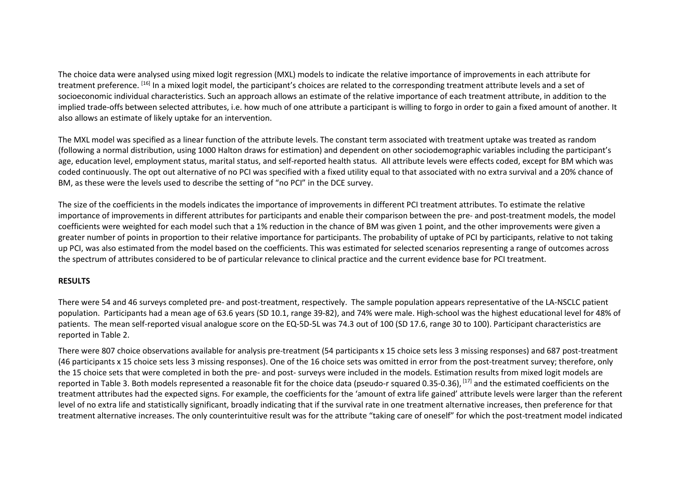The choice data were analysed using mixed logit regression (MXL) models to indicate the relative importance of improvements in each attribute for treatment preference. [16] In a mixed logit model, the participant's choices are related to the corresponding treatment attribute levels and a set of socioeconomic individual characteristics. Such an approach allows an estimate of the relative importance of each treatment attribute, in addition to the implied trade-offs between selected attributes, i.e. how much of one attribute a participant is willing to forgo in order to gain a fixed amount of another. It also allows an estimate of likely uptake for an intervention.

The MXL model was specified as a linear function of the attribute levels. The constant term associated with treatment uptake was treated as random (following a normal distribution, using 1000 Halton draws for estimation) and dependent on other sociodemographic variables including the participant's age, education level, employment status, marital status, and self-reported health status. All attribute levels were effects coded, except for BM which was coded continuously. The opt out alternative of no PCI was specified with a fixed utility equal to that associated with no extra survival and a 20% chance of BM, as these were the levels used to describe the setting of "no PCI" in the DCE survey.

The size of the coefficients in the models indicates the importance of improvements in different PCI treatment attributes. To estimate the relative importance of improvements in different attributes for participants and enable their comparison between the pre- and post-treatment models, the model coefficients were weighted for each model such that a 1% reduction in the chance of BM was given 1 point, and the other improvements were given a greater number of points in proportion to their relative importance for participants. The probability of uptake of PCI by participants, relative to not taking up PCI, was also estimated from the model based on the coefficients. This was estimated for selected scenarios representing a range of outcomes across the spectrum of attributes considered to be of particular relevance to clinical practice and the current evidence base for PCI treatment.

## **RESULTS**

There were 54 and 46 surveys completed pre- and post-treatment, respectively. The sample population appears representative of the LA-NSCLC patient population. Participants had a mean age of 63.6 years (SD 10.1, range 39-82), and 74% were male. High-school was the highest educational level for 48% of patients. The mean self-reported visual analogue score on the EQ-5D-5L was 74.3 out of 100 (SD 17.6, range 30 to 100). Participant characteristics are reported in Table 2.

There were 807 choice observations available for analysis pre-treatment (54 participants x 15 choice sets less 3 missing responses) and 687 post-treatment (46 participants x 15 choice sets less 3 missing responses). One of the 16 choice sets was omitted in error from the post-treatment survey; therefore, only the 15 choice sets that were completed in both the pre- and post- surveys were included in the models. Estimation results from mixed logit models are reported in Table 3. Both models represented a reasonable fit for the choice data (pseudo-r squared 0.35-0.36), <sup>[17]</sup> and the estimated coefficients on the treatment attributes had the expected signs. For example, the coefficients for the 'amount of extra life gained' attribute levels were larger than the referent level of no extra life and statistically significant, broadly indicating that if the survival rate in one treatment alternative increases, then preference for that treatment alternative increases. The only counterintuitive result was for the attribute "taking care of oneself" for which the post-treatment model indicated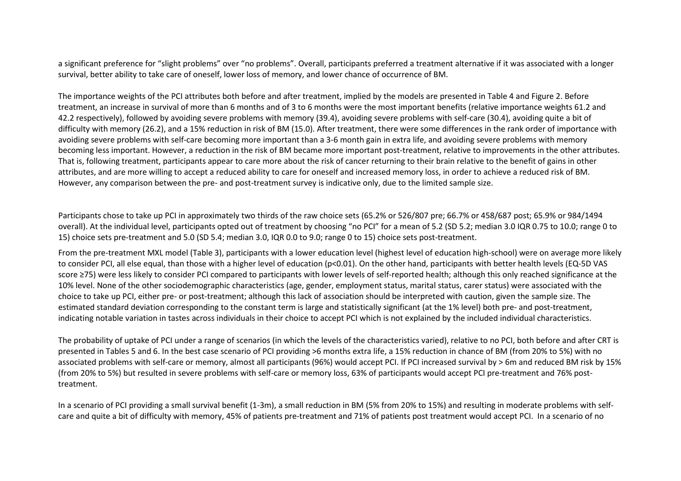a significant preference for "slight problems" over "no problems". Overall, participants preferred a treatment alternative if it was associated with a longersurvival, better ability to take care of oneself, lower loss of memory, and lower chance of occurrence of BM.

The importance weights of the PCI attributes both before and after treatment, implied by the models are presented in Table 4 and Figure 2. Before treatment, an increase in survival of more than 6 months and of 3 to 6 months were the most important benefits (relative importance weights 61.2 and 42.2 respectively), followed by avoiding severe problems with memory (39.4), avoiding severe problems with self-care (30.4), avoiding quite a bit of difficulty with memory (26.2), and a 15% reduction in risk of BM (15.0). After treatment, there were some differences in the rank order of importance withavoiding severe problems with self-care becoming more important than a 3-6 month gain in extra life, and avoiding severe problems with memory becoming less important. However, a reduction in the risk of BM became more important post-treatment, relative to improvements in the other attributes. That is, following treatment, participants appear to care more about the risk of cancer returning to their brain relative to the benefit of gains in other attributes, and are more willing to accept a reduced ability to care for oneself and increased memory loss, in order to achieve a reduced risk of BM. However, any comparison between the pre- and post-treatment survey is indicative only, due to the limited sample size.

Participants chose to take up PCI in approximately two thirds of the raw choice sets (65.2% or 526/807 pre; 66.7% or 458/687 post; 65.9% or 984/1494 overall). At the individual level, participants opted out of treatment by choosing "no PCI" for a mean of 5.2 (SD 5.2; median 3.0 IQR 0.75 to 10.0; range 0 to 15) choice sets pre-treatment and 5.0 (SD 5.4; median 3.0, IQR 0.0 to 9.0; range 0 to 15) choice sets post-treatment.

From the pre-treatment MXL model (Table 3), participants with a lower education level (highest level of education high-school) were on average more likely to consider PCI, all else equal, than those with a higher level of education (p<0.01). On the other hand, participants with better health levels (EQ-5D VAS score ≥75) were less likely to consider PCI compared to participants with lower levels of self-reported health; although this only reached significance at the 10% level. None of the other sociodemographic characteristics (age, gender, employment status, marital status, carer status) were associated with the choice to take up PCI, either pre- or post-treatment; although this lack of association should be interpreted with caution, given the sample size. The estimated standard deviation corresponding to the constant term is large and statistically significant (at the 1% level) both pre- and post-treatment, indicating notable variation in tastes across individuals in their choice to accept PCI which is not explained by the included individual characteristics.

The probability of uptake of PCI under a range of scenarios (in which the levels of the characteristics varied), relative to no PCI, both before and after CRT is presented in Tables 5 and 6. In the best case scenario of PCI providing >6 months extra life, a 15% reduction in chance of BM (from 20% to 5%) with no associated problems with self-care or memory, almost all participants (96%) would accept PCI. If PCI increased survival by > 6m and reduced BM risk by 15% (from 20% to 5%) but resulted in severe problems with self-care or memory loss, 63% of participants would accept PCI pre-treatment and 76% posttreatment.

In a scenario of PCI providing a small survival benefit (1-3m), a small reduction in BM (5% from 20% to 15%) and resulting in moderate problems with selfcare and quite a bit of difficulty with memory, 45% of patients pre-treatment and 71% of patients post treatment would accept PCI. In a scenario of no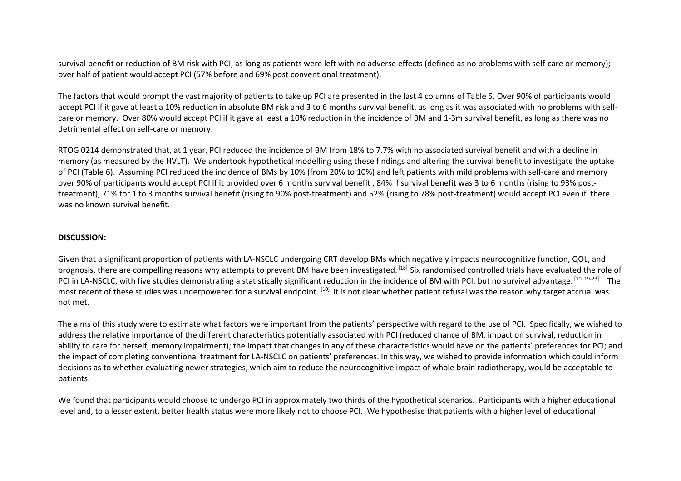survival benefit or reduction of BM risk with PCI, as long as patients were left with no adverse effects (defined as no problems with self-care or memory); over half of patient would accept PCI (57% before and 69% post conventional treatment).

The factors that would prompt the vast majority of patients to take up PCI are presented in the last 4 columns of Table 5. Over 90% of participants would accept PCI if it gave at least a 10% reduction in absolute BM risk and 3 to 6 months survival benefit, as long as it was associated with no problems with selfcare or memory. Over 80% would accept PCI if it gave at least a 10% reduction in the incidence of BM and 1-3m survival benefit, as long as there was no detrimental effect on self-care or memory.

RTOG 0214 demonstrated that, at 1 year, PCI reduced the incidence of BM from 18% to 7.7% with no associated survival benefit and with a decline in memory (as measured by the HVLT). We undertook hypothetical modelling using these findings and altering the survival benefit to investigate the uptake of PCI (Table 6). Assuming PCI reduced the incidence of BMs by 10% (from 20% to 10%) and left patients with mild problems with self-care and memory over 90% of participants would accept PCI if it provided over 6 months survival benefit , 84% if survival benefit was 3 to 6 months (rising to 93% posttreatment), 71% for 1 to 3 months survival benefit (rising to 90% post-treatment) and 52% (rising to 78% post-treatment) would accept PCI even if there was no known survival benefit.

## **DISCUSSION:**

Given that a significant proportion of patients with LA-NSCLC undergoing CRT develop BMs which negatively impacts neurocognitive function, QOL, and prognosis, there are compelling reasons why attempts to prevent BM have been investigated. [18] Six randomised controlled trials have evaluated the role of PCI in LA-NSCLC, with five studies demonstrating a statistically significant reduction in the incidence of BM with PCI, but no survival advantage. [10, 19-23] The most recent of these studies was underpowered for a survival endpoint. [10] It is not clear whether patient refusal was the reason why target accrual was not met.

The aims of this study were to estimate what factors were important from the patients' perspective with regard to the use of PCI. Specifically, we wished to address the relative importance of the different characteristics potentially associated with PCI (reduced chance of BM, impact on survival, reduction in ability to care for herself, memory impairment); the impact that changes in any of these characteristics would have on the patients' preferences for PCI; and the impact of completing conventional treatment for LA-NSCLC on patients' preferences. In this way, we wished to provide information which could inform decisions as to whether evaluating newer strategies, which aim to reduce the neurocognitive impact of whole brain radiotherapy, would be acceptable to patients.

We found that participants would choose to undergo PCI in approximately two thirds of the hypothetical scenarios. Participants with a higher educational level and, to a lesser extent, better health status were more likely not to choose PCI. We hypothesise that patients with a higher level of educational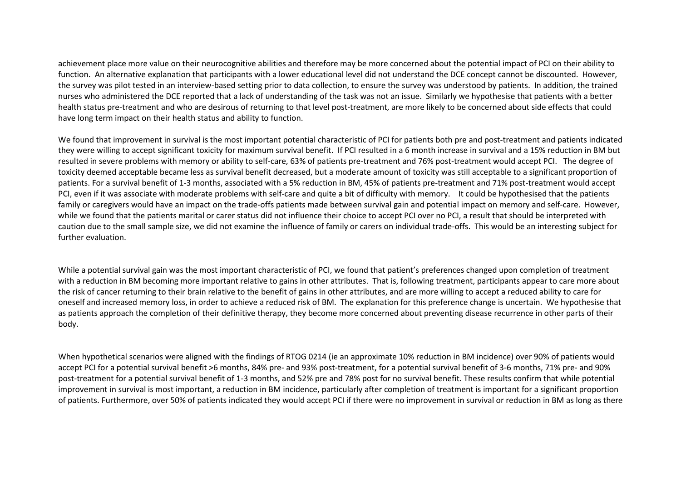achievement place more value on their neurocognitive abilities and therefore may be more concerned about the potential impact of PCI on their ability to function. An alternative explanation that participants with a lower educational level did not understand the DCE concept cannot be discounted. However, the survey was pilot tested in an interview-based setting prior to data collection, to ensure the survey was understood by patients. In addition, the trained nurses who administered the DCE reported that a lack of understanding of the task was not an issue. Similarly we hypothesise that patients with a better health status pre-treatment and who are desirous of returning to that level post-treatment, are more likely to be concerned about side effects that could have long term impact on their health status and ability to function.

We found that improvement in survival is the most important potential characteristic of PCI for patients both pre and post-treatment and patients indicated they were willing to accept significant toxicity for maximum survival benefit. If PCI resulted in a 6 month increase in survival and a 15% reduction in BM but resulted in severe problems with memory or ability to self-care, 63% of patients pre-treatment and 76% post-treatment would accept PCI. The degree of toxicity deemed acceptable became less as survival benefit decreased, but a moderate amount of toxicity was still acceptable to a significant proportion of patients. For a survival benefit of 1-3 months, associated with a 5% reduction in BM, 45% of patients pre-treatment and 71% post-treatment would accept PCI, even if it was associate with moderate problems with self-care and quite a bit of difficulty with memory. It could be hypothesised that the patients family or caregivers would have an impact on the trade-offs patients made between survival gain and potential impact on memory and self-care. However, while we found that the patients marital or carer status did not influence their choice to accept PCI over no PCI, a result that should be interpreted with caution due to the small sample size, we did not examine the influence of family or carers on individual trade-offs. This would be an interesting subject for further evaluation.

While a potential survival gain was the most important characteristic of PCI, we found that patient's preferences changed upon completion of treatment with a reduction in BM becoming more important relative to gains in other attributes. That is, following treatment, participants appear to care more about the risk of cancer returning to their brain relative to the benefit of gains in other attributes, and are more willing to accept a reduced ability to care for oneself and increased memory loss, in order to achieve a reduced risk of BM. The explanation for this preference change is uncertain. We hypothesise that as patients approach the completion of their definitive therapy, they become more concerned about preventing disease recurrence in other parts of their body.

When hypothetical scenarios were aligned with the findings of RTOG 0214 (ie an approximate 10% reduction in BM incidence) over 90% of patients would accept PCI for a potential survival benefit >6 months, 84% pre- and 93% post-treatment, for a potential survival benefit of 3-6 months, 71% pre- and 90% post-treatment for a potential survival benefit of 1-3 months, and 52% pre and 78% post for no survival benefit. These results confirm that while potential improvement in survival is most important, a reduction in BM incidence, particularly after completion of treatment is important for a significant proportion of patients. Furthermore, over 50% of patients indicated they would accept PCI if there were no improvement in survival or reduction in BM as long as there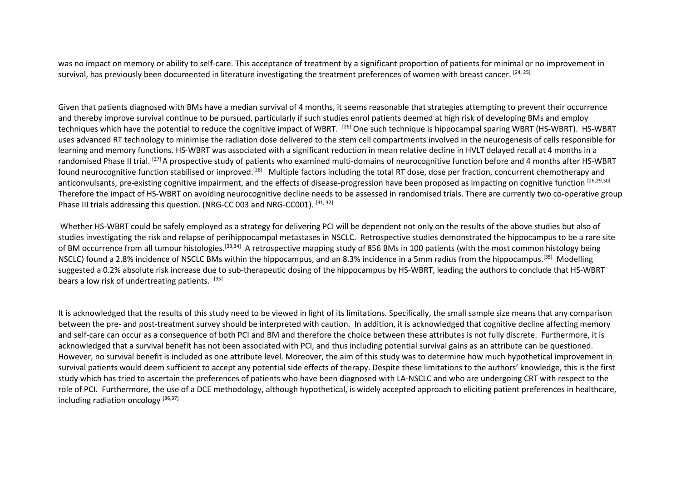was no impact on memory or ability to self-care. This acceptance of treatment by a significant proportion of patients for minimal or no improvement in survival, has previously been documented in literature investigating the treatment preferences of women with breast cancer. [24, 25]

Given that patients diagnosed with BMs have a median survival of 4 months, it seems reasonable that strategies attempting to prevent their occurrence and thereby improve survival continue to be pursued, particularly if such studies enrol patients deemed at high risk of developing BMs and employ techniques which have the potential to reduce the cognitive impact of WBRT. [26] One such technique is hippocampal sparing WBRT (HS-WBRT). HS-WBRT uses advanced RT technology to minimise the radiation dose delivered to the stem cell compartments involved in the neurogenesis of cells responsible for learning and memory functions. HS-WBRT was associated with a significant reduction in mean relative decline in HVLT delayed recall at 4 months in a randomised Phase II trial. <sup>[27]</sup> A prospective study of patients who examined multi-domains of neurocognitive function before and 4 months after HS-WBRT found neurocognitive function stabilised or improved.<sup>[28]</sup> Multiple factors including the total RT dose, dose per fraction, concurrent chemotherapy and anticonvulsants, pre-existing cognitive impairment, and the effects of disease-progression have been proposed as impacting on cognitive function [26,29,30] Therefore the impact of HS-WBRT on avoiding neurocognitive decline needs to be assessed in randomised trials. There are currently two co-operative group Phase III trials addressing this question. (NRG-CC 003 and NRG-CC001). [31, 32]

 Whether HS-WBRT could be safely employed as a strategy for delivering PCI will be dependent not only on the results of the above studies but also of studies investigating the risk and relapse of perihippocampal metastases in NSCLC. Retrospective studies demonstrated the hippocampus to be a rare site of BM occurrence from all tumour histologies.<sup>[33,34]</sup> A retrospective mapping study of 856 BMs in 100 patients (with the most common histology being NSCLC) found a 2.8% incidence of NSCLC BMs within the hippocampus, and an 8.3% incidence in a 5mm radius from the hippocampus.[35] Modelling suggested a 0.2% absolute risk increase due to sub-therapeutic dosing of the hippocampus by HS-WBRT, leading the authors to conclude that HS-WBRT bears a low risk of undertreating patients. [35]

It is acknowledged that the results of this study need to be viewed in light of its limitations. Specifically, the small sample size means that any comparison between the pre- and post-treatment survey should be interpreted with caution. In addition, it is acknowledged that cognitive decline affecting memory and self-care can occur as a consequence of both PCI and BM and therefore the choice between these attributes is not fully discrete. Furthermore, it is acknowledged that a survival benefit has not been associated with PCI, and thus including potential survival gains as an attribute can be questioned. However, no survival benefit is included as one attribute level. Moreover, the aim of this study was to determine how much hypothetical improvement in survival patients would deem sufficient to accept any potential side effects of therapy. Despite these limitations to the authors' knowledge, this is the first study which has tried to ascertain the preferences of patients who have been diagnosed with LA-NSCLC and who are undergoing CRT with respect to the role of PCI. Furthermore, the use of a DCE methodology, although hypothetical, is widely accepted approach to eliciting patient preferences in healthcare,including radiation oncology  $[36,37]$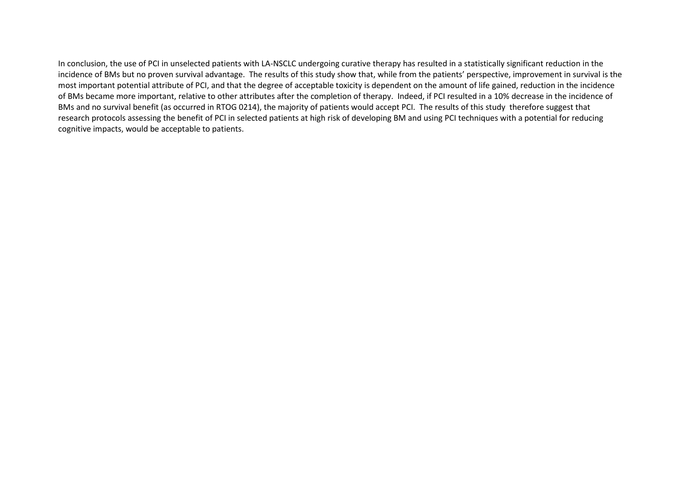In conclusion, the use of PCI in unselected patients with LA-NSCLC undergoing curative therapy has resulted in a statistically significant reduction in the incidence of BMs but no proven survival advantage. The results of this study show that, while from the patients' perspective, improvement in survival is the most important potential attribute of PCI, and that the degree of acceptable toxicity is dependent on the amount of life gained, reduction in the incidence of BMs became more important, relative to other attributes after the completion of therapy. Indeed, if PCI resulted in a 10% decrease in the incidence of BMs and no survival benefit (as occurred in RTOG 0214), the majority of patients would accept PCI. The results of this study therefore suggest that research protocols assessing the benefit of PCI in selected patients at high risk of developing BM and using PCI techniques with a potential for reducing cognitive impacts, would be acceptable to patients.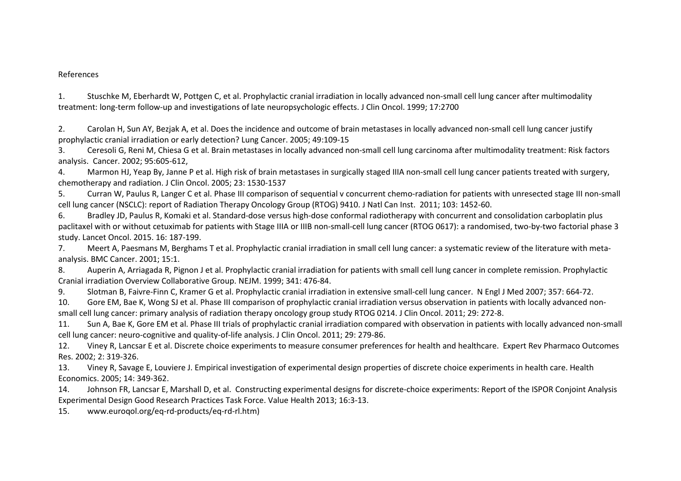#### References

1. Stuschke M, Eberhardt W, Pottgen C, et al. Prophylactic cranial irradiation in locally advanced non-small cell lung cancer after multimodality treatment: long-term follow-up and investigations of late neuropsychologic effects. J Clin Oncol. 1999; 17:2700

2. Carolan H, Sun AY, Bezjak A, et al. Does the incidence and outcome of brain metastases in locally advanced non-small cell lung cancer justify prophylactic cranial irradiation or early detection? Lung Cancer. 2005; 49:109-15

3. Ceresoli G, Reni M, Chiesa G et al. Brain metastases in locally advanced non-small cell lung carcinoma after multimodality treatment: Risk factors analysis. Cancer. 2002; 95:605-612,

4. Marmon HJ, Yeap By, Janne P et al. High risk of brain metastases in surgically staged IIIA non-small cell lung cancer patients treated with surgery, chemotherapy and radiation. J Clin Oncol. 2005; 23: 1530-1537

5. Curran W, Paulus R, Langer C et al. Phase III comparison of sequential v concurrent chemo-radiation for patients with unresected stage III non-small cell lung cancer (NSCLC): report of Radiation Therapy Oncology Group (RTOG) 9410. J Natl Can Inst. 2011; 103: 1452-60.

6. Bradley JD, Paulus R, Komaki et al. Standard-dose versus high-dose conformal radiotherapy with concurrent and consolidation carboplatin plus paclitaxel with or without cetuximab for patients with Stage IIIA or IIIB non-small-cell lung cancer (RTOG 0617): a randomised, two-by-two factorial phase 3 study. Lancet Oncol. 2015. 16: 187-199.

 7. Meert A, Paesmans M, Berghams T et al. Prophylactic cranial irradiation in small cell lung cancer: a systematic review of the literature with metaanalysis. BMC Cancer. 2001; 15:1.

8. Auperin A, Arriagada R, Pignon J et al. Prophylactic cranial irradiation for patients with small cell lung cancer in complete remission. Prophylactic Cranial irradiation Overview Collaborative Group. NEJM. 1999; 341: 476-84.

9. Slotman B, Faivre-Finn C, Kramer G et al. Prophylactic cranial irradiation in extensive small-cell lung cancer. N Engl J Med 2007; 357: 664-72.

10. Gore EM, Bae K, Wong SJ et al. Phase III comparison of prophylactic cranial irradiation versus observation in patients with locally advanced nonsmall cell lung cancer: primary analysis of radiation therapy oncology group study RTOG 0214. J Clin Oncol. 2011; 29: 272-8.

11. Sun A, Bae K, Gore EM et al. Phase III trials of prophylactic cranial irradiation compared with observation in patients with locally advanced non-small cell lung cancer: neuro-cognitive and quality-of-life analysis. J Clin Oncol. 2011; 29: 279-86.

12. Viney R, Lancsar E et al. Discrete choice experiments to measure consumer preferences for health and healthcare. Expert Rev Pharmaco Outcomes Res. 2002; 2: 319-326.

13. Viney R, Savage E, Louviere J. Empirical investigation of experimental design properties of discrete choice experiments in health care. Health Economics. 2005; 14: 349-362.

14. Johnson FR, Lancsar E, Marshall D, et al. Constructing experimental designs for discrete-choice experiments: Report of the ISPOR Conjoint Analysis Experimental Design Good Research Practices Task Force. Value Health 2013; 16:3-13.

15. www.euroqol.org/eq-rd-products/eq-rd-rl.htm)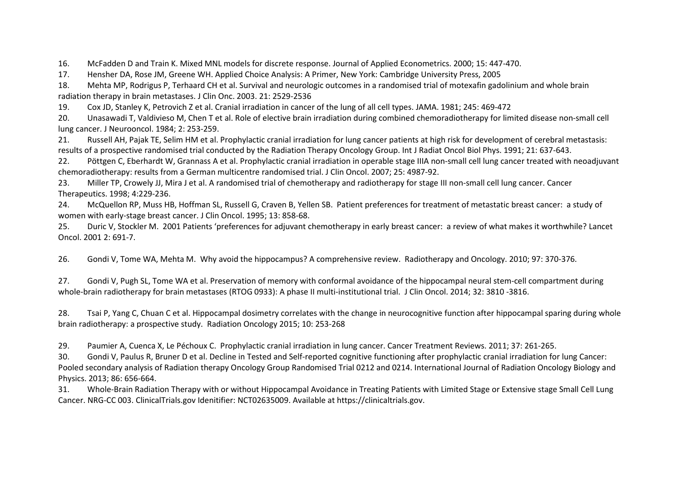16. McFadden D and Train K. Mixed MNL models for discrete response. Journal of Applied Econometrics. 2000; 15: 447-470.

17. Hensher DA, Rose JM, Greene WH. Applied Choice Analysis: A Primer, New York: Cambridge University Press, 2005

18. Mehta MP, Rodrigus P, Terhaard CH et al. Survival and neurologic outcomes in a randomised trial of motexafin gadolinium and whole brain radiation therapy in brain metastases. J Clin Onc. 2003. 21: 2529-2536

19. Cox JD, Stanley K, Petrovich Z et al. Cranial irradiation in cancer of the lung of all cell types. JAMA. 1981; 245: 469-472

 20. Unasawadi T, Valdivieso M, Chen T et al. Role of elective brain irradiation during combined chemoradiotherapy for limited disease non-small cell lung cancer. J Neurooncol. 1984; 2: 253-259.

21. Russell AH, Pajak TE, Selim HM et al. Prophylactic cranial irradiation for lung cancer patients at high risk for development of cerebral metastasis: results of a prospective randomised trial conducted by the Radiation Therapy Oncology Group. Int J Radiat Oncol Biol Phys. 1991; 21: 637-643.

22. Pöttgen C, Eberhardt W, Grannass A et al. Prophylactic cranial irradiation in operable stage IIIA non-small cell lung cancer treated with neoadjuvant chemoradiotherapy: results from a German multicentre randomised trial. J Clin Oncol. 2007; 25: 4987-92.

23. Miller TP, Crowely JJ, Mira J et al. A randomised trial of chemotherapy and radiotherapy for stage III non-small cell lung cancer. Cancer Therapeutics. 1998; 4:229-236.

24. McQuellon RP, Muss HB, Hoffman SL, Russell G, Craven B, Yellen SB. Patient preferences for treatment of metastatic breast cancer: a study of women with early-stage breast cancer. J Clin Oncol. 1995; 13: 858-68.

25. Duric V, Stockler M. 2001 Patients 'preferences for adjuvant chemotherapy in early breast cancer: a review of what makes it worthwhile? Lancet Oncol. 2001 2: 691-7.

26. Gondi V, Tome WA, Mehta M. Why avoid the hippocampus? A comprehensive review. Radiotherapy and Oncology. 2010; 97: 370-376.

27. Gondi V, Pugh SL, Tome WA et al. Preservation of memory with conformal avoidance of the hippocampal neural stem-cell compartment during whole-brain radiotherapy for brain metastases (RTOG 0933): A phase II multi-institutional trial. J Clin Oncol. 2014; 32: 3810 -3816.

28. Tsai P, Yang C, Chuan C et al. Hippocampal dosimetry correlates with the change in neurocognitive function after hippocampal sparing during whole brain radiotherapy: a prospective study. Radiation Oncology 2015; 10: 253-268

29. Paumier A, Cuenca X, Le Péchoux C. Prophylactic cranial irradiation in lung cancer. Cancer Treatment Reviews. 2011; 37: 261-265.

30. Gondi V, Paulus R, Bruner D et al. Decline in Tested and Self-reported cognitive functioning after prophylactic cranial irradiation for lung Cancer: Pooled secondary analysis of Radiation therapy Oncology Group Randomised Trial 0212 and 0214. International Journal of Radiation Oncology Biology and Physics. 2013; 86: 656-664.

31. Whole-Brain Radiation Therapy with or without Hippocampal Avoidance in Treating Patients with Limited Stage or Extensive stage Small Cell Lung Cancer. NRG-CC 003. ClinicalTrials.gov Idenitifier: NCT02635009. Available at https://clinicaltrials.gov.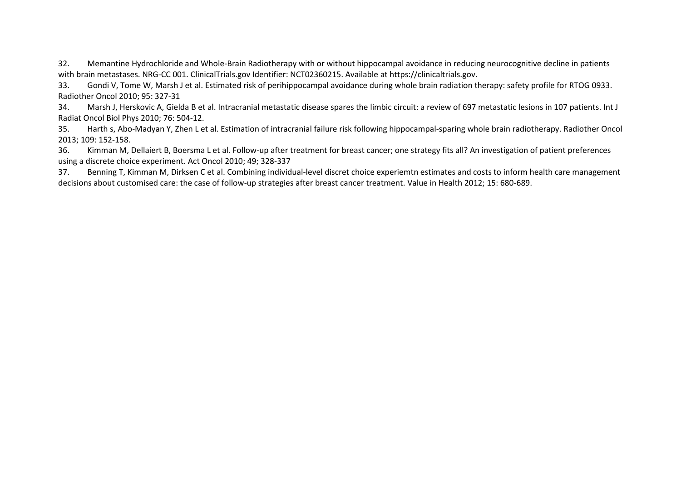32. Memantine Hydrochloride and Whole-Brain Radiotherapy with or without hippocampal avoidance in reducing neurocognitive decline in patients with brain metastases. NRG-CC 001. ClinicalTrials.gov Identifier: NCT02360215. Available at https://clinicaltrials.gov.

33. Gondi V, Tome W, Marsh J et al. Estimated risk of perihippocampal avoidance during whole brain radiation therapy: safety profile for RTOG 0933. Radiother Oncol 2010; 95: 327-31

34. Marsh J, Herskovic A, Gielda B et al. Intracranial metastatic disease spares the limbic circuit: a review of 697 metastatic lesions in 107 patients. Int J Radiat Oncol Biol Phys 2010; 76: 504-12.

35. Harth s, Abo-Madyan Y, Zhen L et al. Estimation of intracranial failure risk following hippocampal-sparing whole brain radiotherapy. Radiother Oncol 2013; 109: 152-158.

36. Kimman M, Dellaiert B, Boersma L et al. Follow-up after treatment for breast cancer; one strategy fits all? An investigation of patient preferences using a discrete choice experiment. Act Oncol 2010; 49; 328-337

37. Benning T, Kimman M, Dirksen C et al. Combining individual-level discret choice experiemtn estimates and costs to inform health care management decisions about customised care: the case of follow-up strategies after breast cancer treatment. Value in Health 2012; 15: 680-689.